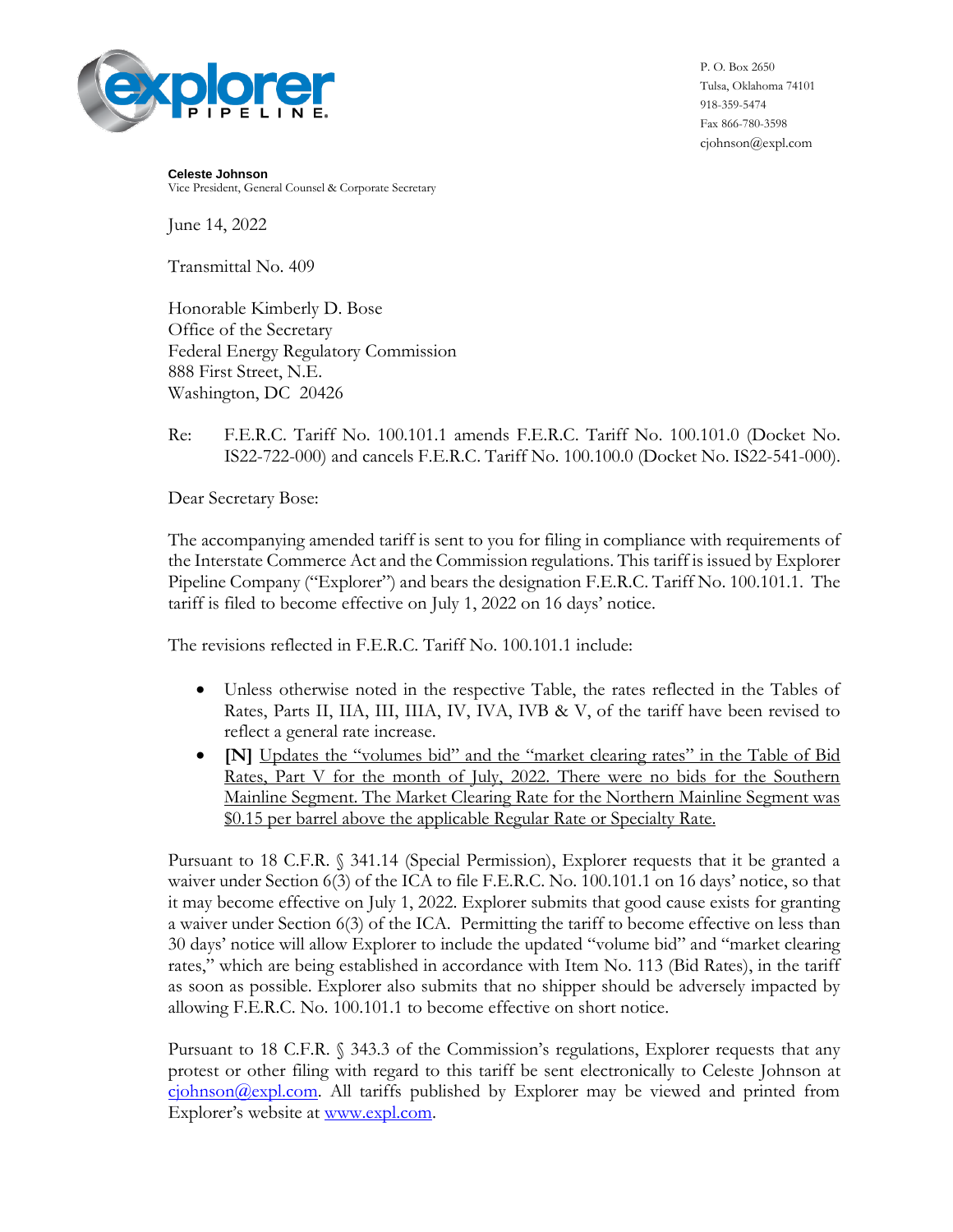

P. O. Box 2650 Tulsa, Oklahoma 74101 918-359-5474 Fax 866-780-3598 cjohnson@expl.com

**Celeste Johnson** Vice President, General Counsel & Corporate Secretary

June 14, 2022

Transmittal No. 409

Honorable Kimberly D. Bose Office of the Secretary Federal Energy Regulatory Commission 888 First Street, N.E. Washington, DC 20426

## Re: F.E.R.C. Tariff No. 100.101.1 amends F.E.R.C. Tariff No. 100.101.0 (Docket No. IS22-722-000) and cancels F.E.R.C. Tariff No. 100.100.0 (Docket No. IS22-541-000).

Dear Secretary Bose:

The accompanying amended tariff is sent to you for filing in compliance with requirements of the Interstate Commerce Act and the Commission regulations. This tariff is issued by Explorer Pipeline Company ("Explorer") and bears the designation F.E.R.C. Tariff No. 100.101.1. The tariff is filed to become effective on July 1, 2022 on 16 days' notice.

The revisions reflected in F.E.R.C. Tariff No. 100.101.1 include:

- Unless otherwise noted in the respective Table, the rates reflected in the Tables of Rates, Parts II, IIA, III, IIIA, IV, IVA, IVB & V, of the tariff have been revised to reflect a general rate increase.
- **[N]** Updates the "volumes bid" and the "market clearing rates" in the Table of Bid Rates, Part V for the month of July, 2022. There were no bids for the Southern Mainline Segment. The Market Clearing Rate for the Northern Mainline Segment was \$0.15 per barrel above the applicable Regular Rate or Specialty Rate.

Pursuant to 18 C.F.R. § 341.14 (Special Permission), Explorer requests that it be granted a waiver under Section 6(3) of the ICA to file F.E.R.C. No. 100.101.1 on 16 days' notice, so that it may become effective on July 1, 2022. Explorer submits that good cause exists for granting a waiver under Section 6(3) of the ICA. Permitting the tariff to become effective on less than 30 days' notice will allow Explorer to include the updated "volume bid" and "market clearing rates," which are being established in accordance with Item No. 113 (Bid Rates), in the tariff as soon as possible. Explorer also submits that no shipper should be adversely impacted by allowing F.E.R.C. No. 100.101.1 to become effective on short notice.

Pursuant to 18 C.F.R. § 343.3 of the Commission's regulations, Explorer requests that any protest or other filing with regard to this tariff be sent electronically to Celeste Johnson at  $c$ johnson@expl.com. All tariffs published by Explorer may be viewed and printed from Explorer's website at [www.expl.com.](http://www.expl.com/)